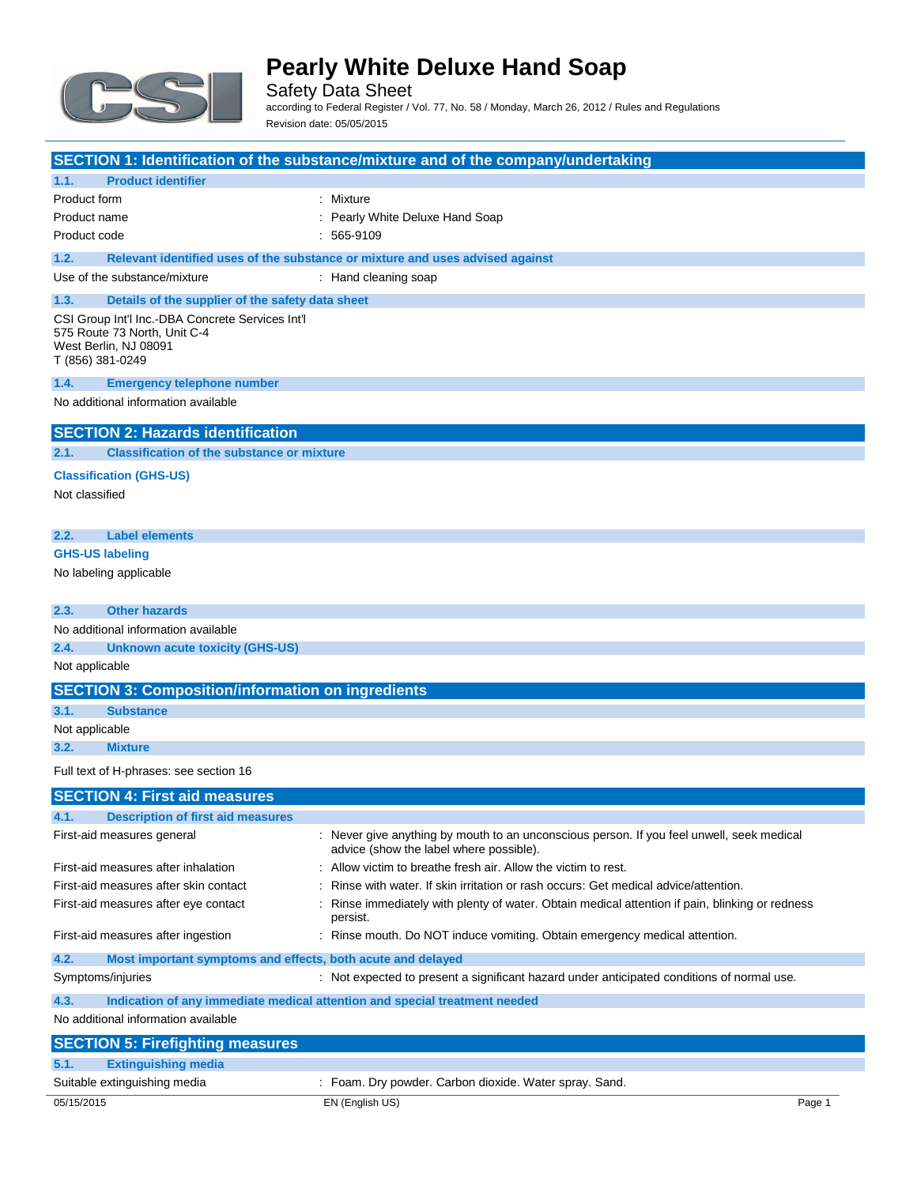

Safety Data Sheet according to Federal Register / Vol. 77, No. 58 / Monday, March 26, 2012 / Rules and Regulations Revision date: 05/05/2015

|                                                                     | SECTION 1: Identification of the substance/mixture and of the company/undertaking                                                    |
|---------------------------------------------------------------------|--------------------------------------------------------------------------------------------------------------------------------------|
| <b>Product identifier</b><br>1.1.                                   |                                                                                                                                      |
| Product form                                                        | : Mixture                                                                                                                            |
| Product name                                                        | Pearly White Deluxe Hand Soap                                                                                                        |
| Product code                                                        | $: 565-9109$                                                                                                                         |
| 1.2.                                                                | Relevant identified uses of the substance or mixture and uses advised against                                                        |
| Use of the substance/mixture                                        | : Hand cleaning soap                                                                                                                 |
| 1.3.<br>Details of the supplier of the safety data sheet            |                                                                                                                                      |
| CSI Group Int'l Inc.-DBA Concrete Services Int'l                    |                                                                                                                                      |
| 575 Route 73 North, Unit C-4<br>West Berlin, NJ 08091               |                                                                                                                                      |
| T (856) 381-0249                                                    |                                                                                                                                      |
| 1.4.<br><b>Emergency telephone number</b>                           |                                                                                                                                      |
| No additional information available                                 |                                                                                                                                      |
| <b>SECTION 2: Hazards identification</b>                            |                                                                                                                                      |
| <b>Classification of the substance or mixture</b><br>2.1.           |                                                                                                                                      |
| <b>Classification (GHS-US)</b>                                      |                                                                                                                                      |
| Not classified                                                      |                                                                                                                                      |
|                                                                     |                                                                                                                                      |
| 2.2.<br><b>Label elements</b>                                       |                                                                                                                                      |
| <b>GHS-US labeling</b>                                              |                                                                                                                                      |
| No labeling applicable                                              |                                                                                                                                      |
|                                                                     |                                                                                                                                      |
| <b>Other hazards</b><br>2.3.                                        |                                                                                                                                      |
| No additional information available                                 |                                                                                                                                      |
| 2.4.<br><b>Unknown acute toxicity (GHS-US)</b>                      |                                                                                                                                      |
| Not applicable                                                      |                                                                                                                                      |
| <b>SECTION 3: Composition/information on ingredients</b>            |                                                                                                                                      |
| 3.1.<br><b>Substance</b>                                            |                                                                                                                                      |
| Not applicable                                                      |                                                                                                                                      |
| 3.2.<br><b>Mixture</b>                                              |                                                                                                                                      |
| Full text of H-phrases: see section 16                              |                                                                                                                                      |
| <b>SECTION 4: First aid measures</b>                                |                                                                                                                                      |
| <b>Description of first aid measures</b><br>4.1.                    |                                                                                                                                      |
| First-aid measures general                                          | : Never give anything by mouth to an unconscious person. If you feel unwell, seek medical<br>advice (show the label where possible). |
| First-aid measures after inhalation                                 | : Allow victim to breathe fresh air. Allow the victim to rest.                                                                       |
| First-aid measures after skin contact                               | Rinse with water. If skin irritation or rash occurs: Get medical advice/attention.                                                   |
| First-aid measures after eye contact                                | Rinse immediately with plenty of water. Obtain medical attention if pain, blinking or redness                                        |
|                                                                     | persist.                                                                                                                             |
| First-aid measures after ingestion                                  | : Rinse mouth. Do NOT induce vomiting. Obtain emergency medical attention.                                                           |
| 4.2.<br>Most important symptoms and effects, both acute and delayed |                                                                                                                                      |
| Symptoms/injuries                                                   | : Not expected to present a significant hazard under anticipated conditions of normal use.                                           |
| 4.3.                                                                | Indication of any immediate medical attention and special treatment needed                                                           |
| No additional information available                                 |                                                                                                                                      |
| <b>SECTION 5: Firefighting measures</b>                             |                                                                                                                                      |
| 5.1.<br><b>Extinguishing media</b>                                  |                                                                                                                                      |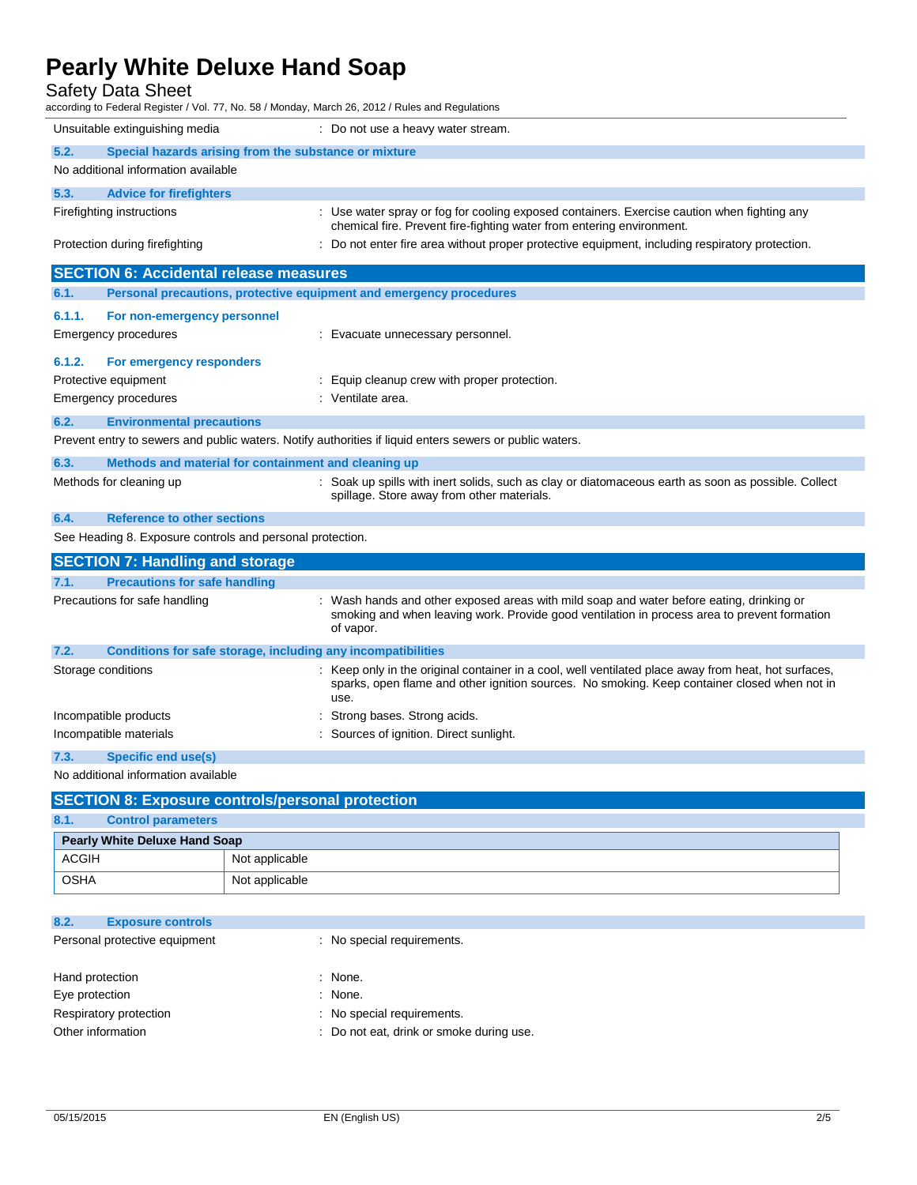### Safety Data Sheet

| according to Federal Register / Vol. 77, No. 58 / Monday, March 26, 2012 / Rules and Regulations        |                                                                                                                                                                                                            |  |
|---------------------------------------------------------------------------------------------------------|------------------------------------------------------------------------------------------------------------------------------------------------------------------------------------------------------------|--|
| Unsuitable extinguishing media                                                                          | : Do not use a heavy water stream.                                                                                                                                                                         |  |
| 5.2.<br>Special hazards arising from the substance or mixture                                           |                                                                                                                                                                                                            |  |
| No additional information available                                                                     |                                                                                                                                                                                                            |  |
| 5.3.<br><b>Advice for firefighters</b>                                                                  |                                                                                                                                                                                                            |  |
| Firefighting instructions                                                                               | : Use water spray or fog for cooling exposed containers. Exercise caution when fighting any<br>chemical fire. Prevent fire-fighting water from entering environment.                                       |  |
| Protection during firefighting                                                                          | : Do not enter fire area without proper protective equipment, including respiratory protection.                                                                                                            |  |
| <b>SECTION 6: Accidental release measures</b>                                                           |                                                                                                                                                                                                            |  |
| 6.1.<br>Personal precautions, protective equipment and emergency procedures                             |                                                                                                                                                                                                            |  |
| 6.1.1.<br>For non-emergency personnel                                                                   |                                                                                                                                                                                                            |  |
| Emergency procedures                                                                                    | : Evacuate unnecessary personnel.                                                                                                                                                                          |  |
| 6.1.2.<br>For emergency responders                                                                      |                                                                                                                                                                                                            |  |
| Protective equipment                                                                                    | : Equip cleanup crew with proper protection.                                                                                                                                                               |  |
| Emergency procedures                                                                                    | : Ventilate area.                                                                                                                                                                                          |  |
| 6.2.<br><b>Environmental precautions</b>                                                                |                                                                                                                                                                                                            |  |
| Prevent entry to sewers and public waters. Notify authorities if liquid enters sewers or public waters. |                                                                                                                                                                                                            |  |
| 6.3.<br>Methods and material for containment and cleaning up                                            |                                                                                                                                                                                                            |  |
| Methods for cleaning up                                                                                 | : Soak up spills with inert solids, such as clay or diatomaceous earth as soon as possible. Collect<br>spillage. Store away from other materials.                                                          |  |
| 6.4.<br><b>Reference to other sections</b>                                                              |                                                                                                                                                                                                            |  |
| See Heading 8. Exposure controls and personal protection.                                               |                                                                                                                                                                                                            |  |
| <b>SECTION 7: Handling and storage</b>                                                                  |                                                                                                                                                                                                            |  |
| 7.1.<br><b>Precautions for safe handling</b>                                                            |                                                                                                                                                                                                            |  |
| Precautions for safe handling                                                                           | : Wash hands and other exposed areas with mild soap and water before eating, drinking or<br>smoking and when leaving work. Provide good ventilation in process area to prevent formation<br>of vapor.      |  |
| 7.2.<br>Conditions for safe storage, including any incompatibilities                                    |                                                                                                                                                                                                            |  |
| Storage conditions                                                                                      | Keep only in the original container in a cool, well ventilated place away from heat, hot surfaces,<br>sparks, open flame and other ignition sources. No smoking. Keep container closed when not in<br>use. |  |
| Incompatible products                                                                                   | Strong bases. Strong acids.                                                                                                                                                                                |  |
| Incompatible materials                                                                                  | : Sources of ignition. Direct sunlight.                                                                                                                                                                    |  |
| 7.3.<br>Specific end use(s)                                                                             |                                                                                                                                                                                                            |  |
| No additional information available                                                                     |                                                                                                                                                                                                            |  |
| <b>SECTION 8: Exposure controls/personal protection</b>                                                 |                                                                                                                                                                                                            |  |

| <u>ISECTION 0. EXPOSULE CONTROISIDEI SONAL PROTECTION</u> |                           |                |  |
|-----------------------------------------------------------|---------------------------|----------------|--|
| 8.1.                                                      | <b>Control parameters</b> |                |  |
| <b>Pearly White Deluxe Hand Soap</b>                      |                           |                |  |
| ACGIH                                                     |                           | Not applicable |  |
| OSHA                                                      |                           | Not applicable |  |

| 8.2.                          | <b>Exposure controls</b> |                                          |
|-------------------------------|--------------------------|------------------------------------------|
| Personal protective equipment |                          | : No special requirements.               |
|                               |                          |                                          |
| Hand protection               |                          | : None.                                  |
| Eye protection                |                          | : None.                                  |
|                               | Respiratory protection   | : No special requirements.               |
| Other information             |                          | : Do not eat, drink or smoke during use. |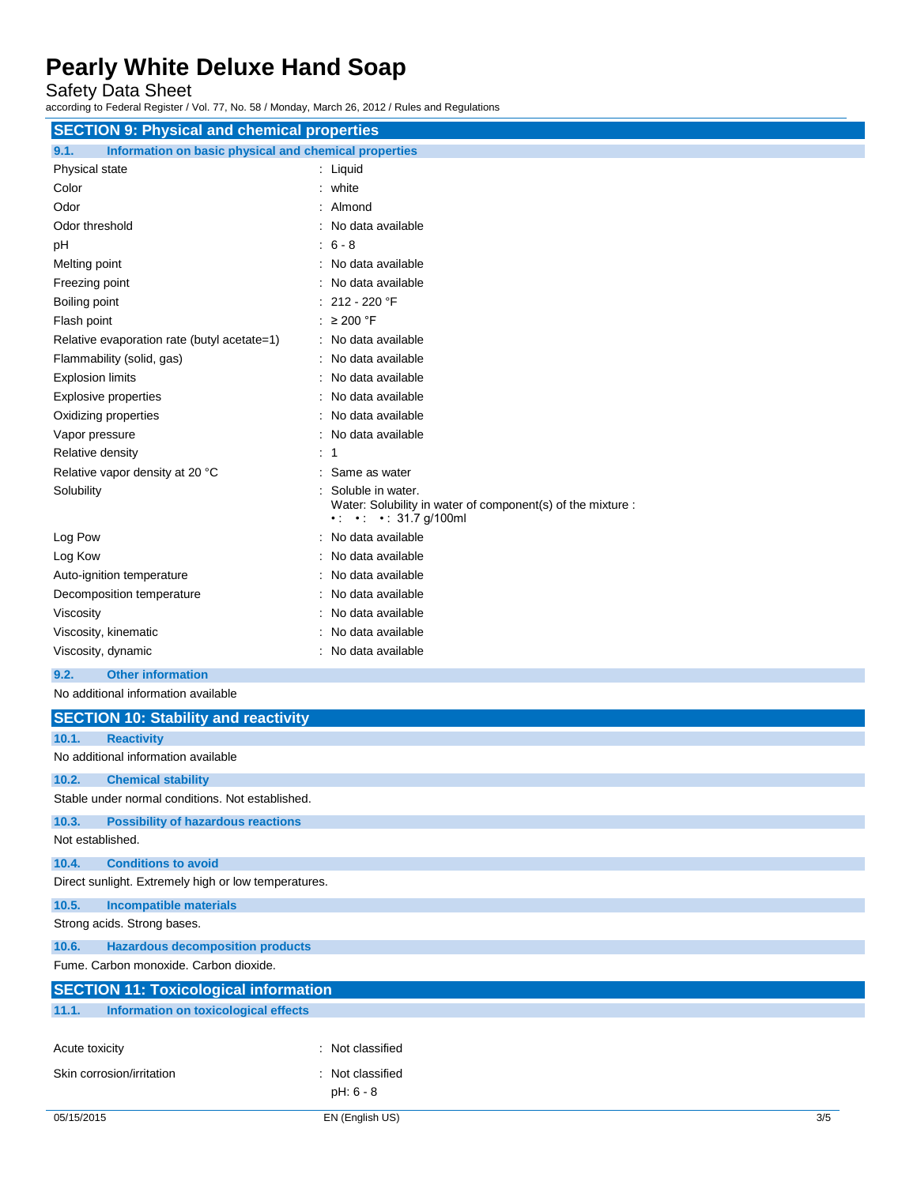Safety Data Sheet

according to Federal Register / Vol. 77, No. 58 / Monday, March 26, 2012 / Rules and Regulations

|                                                               | <b>SECTION 9: Physical and chemical properties</b>                                                          |  |  |
|---------------------------------------------------------------|-------------------------------------------------------------------------------------------------------------|--|--|
| Information on basic physical and chemical properties<br>9.1. |                                                                                                             |  |  |
| Physical state                                                | : Liquid                                                                                                    |  |  |
| Color                                                         | : white                                                                                                     |  |  |
| Odor                                                          | Almond                                                                                                      |  |  |
| Odor threshold                                                | : No data available                                                                                         |  |  |
| рH                                                            | $6 - 8$                                                                                                     |  |  |
| Melting point                                                 | : No data available                                                                                         |  |  |
| Freezing point                                                | No data available                                                                                           |  |  |
| Boiling point                                                 | 212 - 220 °F                                                                                                |  |  |
| Flash point                                                   | : $\geq 200$ °F                                                                                             |  |  |
| Relative evaporation rate (butyl acetate=1)                   | : No data available                                                                                         |  |  |
| Flammability (solid, gas)                                     | No data available                                                                                           |  |  |
| <b>Explosion limits</b>                                       | No data available                                                                                           |  |  |
| <b>Explosive properties</b>                                   | No data available                                                                                           |  |  |
| Oxidizing properties                                          | : No data available                                                                                         |  |  |
| Vapor pressure                                                | No data available                                                                                           |  |  |
| Relative density                                              | : 1                                                                                                         |  |  |
| Relative vapor density at 20 °C                               | Same as water                                                                                               |  |  |
| Solubility                                                    | Soluble in water.                                                                                           |  |  |
|                                                               | Water: Solubility in water of component(s) of the mixture :<br>$\cdot$ $\cdot$ $\cdot$ $\cdot$ 31.7 g/100ml |  |  |
| Log Pow                                                       | No data available                                                                                           |  |  |
| Log Kow                                                       | No data available                                                                                           |  |  |
| Auto-ignition temperature                                     | No data available                                                                                           |  |  |
| Decomposition temperature                                     | : No data available                                                                                         |  |  |
| Viscosity                                                     | : No data available                                                                                         |  |  |
| Viscosity, kinematic                                          | : No data available                                                                                         |  |  |
| Viscosity, dynamic                                            | : No data available                                                                                         |  |  |
| <b>Other information</b><br>9.2.                              |                                                                                                             |  |  |
| No additional information available                           |                                                                                                             |  |  |
| <b>SECTION 10: Stability and reactivity</b>                   |                                                                                                             |  |  |
| 10.1.<br><b>Reactivity</b>                                    |                                                                                                             |  |  |
| No additional information available                           |                                                                                                             |  |  |
| 10.2.<br><b>Chemical stability</b>                            |                                                                                                             |  |  |
| Stable under normal conditions. Not established.              |                                                                                                             |  |  |
| <b>Possibility of hazardous reactions</b><br>10.3.            |                                                                                                             |  |  |
| Not established.                                              |                                                                                                             |  |  |
| 10.4.<br><b>Conditions to avoid</b>                           |                                                                                                             |  |  |
| Direct sunlight. Extremely high or low temperatures.          |                                                                                                             |  |  |
| 10.5.<br><b>Incompatible materials</b>                        |                                                                                                             |  |  |
| Strong acids. Strong bases.                                   |                                                                                                             |  |  |
| 10.6.<br><b>Hazardous decomposition products</b>              |                                                                                                             |  |  |
| Fume. Carbon monoxide. Carbon dioxide.                        |                                                                                                             |  |  |
|                                                               |                                                                                                             |  |  |
| <b>SECTION 11: Toxicological information</b>                  |                                                                                                             |  |  |
| 11.1.<br><b>Information on toxicological effects</b>          |                                                                                                             |  |  |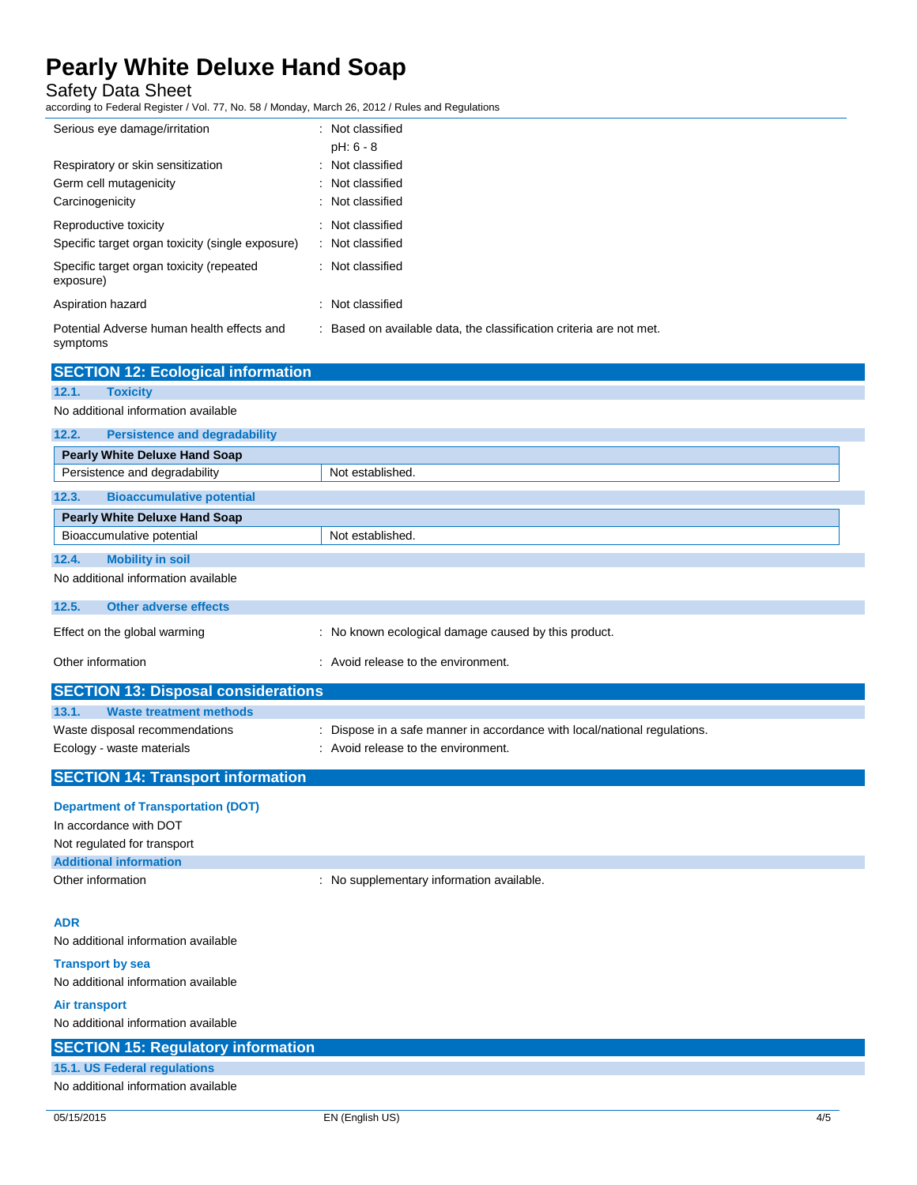Safety Data Sheet

according to Federal Register / Vol. 77, No. 58 / Monday, March 26, 2012 / Rules and Regulations

| Serious eye damage/irritation                                                  | : Not classified                                                        |
|--------------------------------------------------------------------------------|-------------------------------------------------------------------------|
| Respiratory or skin sensitization<br>Germ cell mutagenicity<br>Carcinogenicity | $pH: 6 - 8$<br>: Not classified<br>: Not classified<br>: Not classified |
| Reproductive toxicity<br>Specific target organ toxicity (single exposure)      | : Not classified<br>: Not classified                                    |
| Specific target organ toxicity (repeated<br>exposure)                          | : Not classified                                                        |
| Aspiration hazard                                                              | : Not classified                                                        |
| Potential Adverse human health effects and<br>symptoms                         | : Based on available data, the classification criteria are not met.     |

| <b>SECTION 12: Ecological information</b>     |                                                                           |  |
|-----------------------------------------------|---------------------------------------------------------------------------|--|
| <b>Toxicity</b><br>12.1.                      |                                                                           |  |
| No additional information available           |                                                                           |  |
| 12.2.<br><b>Persistence and degradability</b> |                                                                           |  |
| <b>Pearly White Deluxe Hand Soap</b>          |                                                                           |  |
| Persistence and degradability                 | Not established.                                                          |  |
| <b>Bioaccumulative potential</b><br>12.3.     |                                                                           |  |
| <b>Pearly White Deluxe Hand Soap</b>          |                                                                           |  |
| Bioaccumulative potential                     | Not established.                                                          |  |
| 12.4.<br><b>Mobility in soil</b>              |                                                                           |  |
| No additional information available           |                                                                           |  |
| <b>Other adverse effects</b><br>12.5.         |                                                                           |  |
| Effect on the global warming                  | : No known ecological damage caused by this product.                      |  |
| Other information                             | : Avoid release to the environment.                                       |  |
| <b>SECTION 13: Disposal considerations</b>    |                                                                           |  |
| 13.1.<br><b>Waste treatment methods</b>       |                                                                           |  |
| Waste disposal recommendations                | : Dispose in a safe manner in accordance with local/national regulations. |  |
| Ecology - waste materials                     | : Avoid release to the environment.                                       |  |
| <b>SECTION 14: Transport information</b>      |                                                                           |  |
|                                               |                                                                           |  |

### **Department of Transportation (DOT)**

| In accordance with DOT        |                                           |
|-------------------------------|-------------------------------------------|
| Not regulated for transport   |                                           |
| <b>Additional information</b> |                                           |
| Other information             | : No supplementary information available. |

#### **ADR**

No additional information available

#### **Transport by sea** No additional information available

**Air transport**

No additional information available

| <b>SECTION 15: Regulatory information</b> |  |
|-------------------------------------------|--|
| 15.1. US Federal regulations              |  |
| No additional information available       |  |